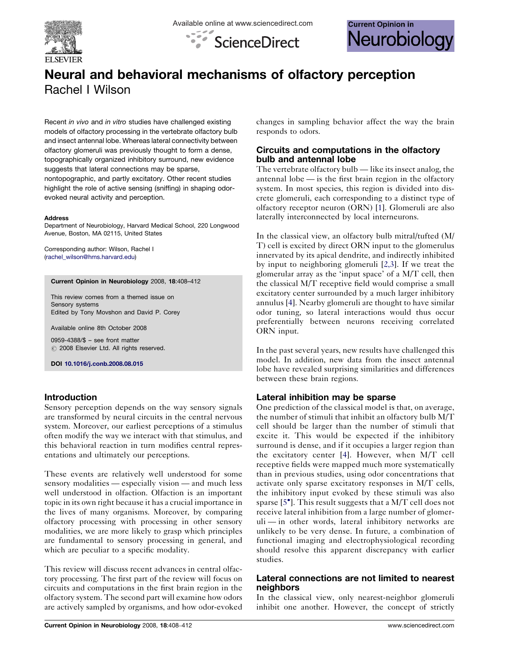





# Neural and behavioral mechanisms of olfactory perception Rachel I Wilson

Recent in vivo and in vitro studies have challenged existing models of olfactory processing in the vertebrate olfactory bulb and insect antennal lobe. Whereas lateral connectivity between olfactory glomeruli was previously thought to form a dense, topographically organized inhibitory surround, new evidence suggests that lateral connections may be sparse, nontopographic, and partly excitatory. Other recent studies highlight the role of active sensing (sniffing) in shaping odorevoked neural activity and perception.

#### Address

Department of Neurobiology, Harvard Medical School, 220 Longwood Avenue, Boston, MA 02115, United States

Corresponding author: Wilson, Rachel I ([rachel\\_wilson@hms.harvard.edu\)](mailto:rachel_wilson@hms.harvard.edu)

#### Current Opinion in Neurobiology 2008, 18:408–412

This review comes from a themed issue on Sensory systems Edited by Tony Movshon and David P. Corey

Available online 8th October 2008

0959-4388/\$ – see front matter  $\oslash$  2008 Elsevier Ltd. All rights reserved.

DOI [10.1016/j.conb.2008.08.015](http://dx.doi.org/10.1016/j.conb.2008.08.015)

## Introduction

Sensory perception depends on the way sensory signals are transformed by neural circuits in the central nervous system. Moreover, our earliest perceptions of a stimulus often modify the way we interact with that stimulus, and this behavioral reaction in turn modifies central representations and ultimately our perceptions.

These events are relatively well understood for some sensory modalities — especially vision — and much less well understood in olfaction. Olfaction is an important topic in its own right because it has a crucial importance in the lives of many organisms. Moreover, by comparing olfactory processing with processing in other sensory modalities, we are more likely to grasp which principles are fundamental to sensory processing in general, and which are peculiar to a specific modality.

This review will discuss recent advances in central olfactory processing. The first part of the review will focus on circuits and computations in the first brain region in the olfactory system. The second part will examine how odors are actively sampled by organisms, and how odor-evoked changes in sampling behavior affect the way the brain responds to odors.

## Circuits and computations in the olfactory bulb and antennal lobe

The vertebrate olfactory bulb — like its insect analog, the antennal lobe — is the first brain region in the olfactory system. In most species, this region is divided into discrete glomeruli, each corresponding to a distinct type of olfactory receptor neuron (ORN) [[1\]](#page-3-0). Glomeruli are also laterally interconnected by local interneurons.

In the classical view, an olfactory bulb mitral/tufted (M/ T) cell is excited by direct ORN input to the glomerulus innervated by its apical dendrite, and indirectly inhibited by input to neighboring glomeruli [[2,3](#page-3-0)]. If we treat the glomerular array as the 'input space' of a M/T cell, then the classical M/T receptive field would comprise a small excitatory center surrounded by a much larger inhibitory annulus [[4\]](#page-3-0). Nearby glomeruli are thought to have similar odor tuning, so lateral interactions would thus occur preferentially between neurons receiving correlated ORN input.

In the past several years, new results have challenged this model. In addition, new data from the insect antennal lobe have revealed surprising similarities and differences between these brain regions.

# Lateral inhibition may be sparse

One prediction of the classical model is that, on average, the number of stimuli that inhibit an olfactory bulb M/T cell should be larger than the number of stimuli that excite it. This would be expected if the inhibitory surround is dense, and if it occupies a larger region than the excitatory center [[4\]](#page-3-0). However, when M/T cell receptive fields were mapped much more systematically than in previous studies, using odor concentrations that activate only sparse excitatory responses in M/T cells, the inhibitory input evoked by these stimuli was also sparse [\[5](#page-3-0)<sup>°</sup>]. This result suggests that a M/T cell does not receive lateral inhibition from a large number of glomeruli — in other words, lateral inhibitory networks are unlikely to be very dense. In future, a combination of functional imaging and electrophysiological recording should resolve this apparent discrepancy with earlier studies.

# Lateral connections are not limited to nearest neighbors

In the classical view, only nearest-neighbor glomeruli inhibit one another. However, the concept of strictly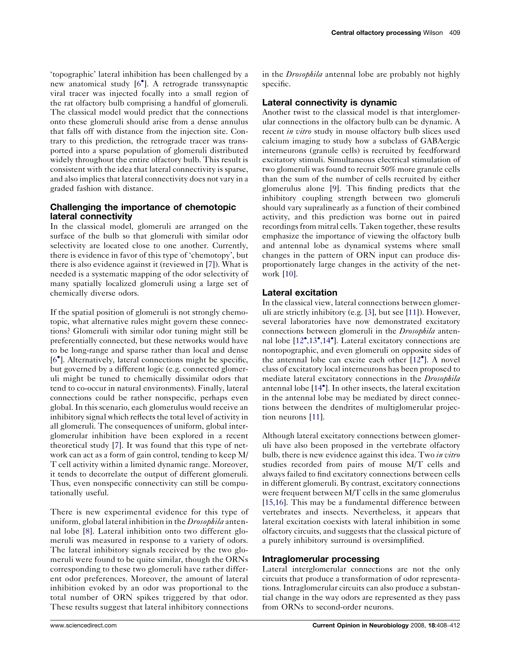'topographic' lateral inhibition has been challenged by a new anatomical study [\[6](#page-3-0)- ]. A retrograde transsynaptic viral tracer was injected focally into a small region of the rat olfactory bulb comprising a handful of glomeruli. The classical model would predict that the connections onto these glomeruli should arise from a dense annulus that falls off with distance from the injection site. Contrary to this prediction, the retrograde tracer was transported into a sparse population of glomeruli distributed widely throughout the entire olfactory bulb. This result is consistent with the idea that lateral connectivity is sparse, and also implies that lateral connectivity does not vary in a graded fashion with distance.

## Challenging the importance of chemotopic lateral connectivity

In the classical model, glomeruli are arranged on the surface of the bulb so that glomeruli with similar odor selectivity are located close to one another. Currently, there is evidence in favor of this type of 'chemotopy', but there is also evidence against it (reviewed in [[7\]](#page-3-0)). What is needed is a systematic mapping of the odor selectivity of many spatially localized glomeruli using a large set of chemically diverse odors.

If the spatial position of glomeruli is not strongly chemotopic, what alternative rules might govern these connections? Glomeruli with similar odor tuning might still be preferentially connected, but these networks would have to be long-range and sparse rather than local and dense [\[6](#page-3-0)<sup>°</sup>]. Alternatively, lateral connections might be specific, but governed by a different logic (e.g. connected glomeruli might be tuned to chemically dissimilar odors that tend to co-occur in natural environments). Finally, lateral connections could be rather nonspecific, perhaps even global. In this scenario, each glomerulus would receive an inhibitory signal which reflects the total level of activity in all glomeruli. The consequences of uniform, global interglomerular inhibition have been explored in a recent theoretical study [\[7](#page-3-0)]. It was found that this type of network can act as a form of gain control, tending to keep M/ T cell activity within a limited dynamic range. Moreover, it tends to decorrelate the output of different glomeruli. Thus, even nonspecific connectivity can still be computationally useful.

There is new experimental evidence for this type of uniform, global lateral inhibition in the *Drosophila* antennal lobe [[8\]](#page-3-0). Lateral inhibition onto two different glomeruli was measured in response to a variety of odors. The lateral inhibitory signals received by the two glomeruli were found to be quite similar, though the ORNs corresponding to these two glomeruli have rather different odor preferences. Moreover, the amount of lateral inhibition evoked by an odor was proportional to the total number of ORN spikes triggered by that odor. These results suggest that lateral inhibitory connections

in the *Drosophila* antennal lobe are probably not highly specific.

#### Lateral connectivity is dynamic

Another twist to the classical model is that interglomerular connections in the olfactory bulb can be dynamic. A recent *in vitro* study in mouse olfactory bulb slices used calcium imaging to study how a subclass of GABAergic interneurons (granule cells) is recruited by feedforward excitatory stimuli. Simultaneous electrical stimulation of two glomeruli was found to recruit 50% more granule cells than the sum of the number of cells recruited by either glomerulus alone [\[9](#page-3-0)]. This finding predicts that the inhibitory coupling strength between two glomeruli should vary supralinearly as a function of their combined activity, and this prediction was borne out in paired recordings from mitral cells. Taken together, these results emphasize the importance of viewing the olfactory bulb and antennal lobe as dynamical systems where small changes in the pattern of ORN input can produce disproportionately large changes in the activity of the network [[10\]](#page-3-0).

## Lateral excitation

In the classical view, lateral connections between glomeruli are strictly inhibitory (e.g. [\[3](#page-3-0)], but see [[11\]](#page-3-0)). However, several laboratories have now demonstrated excitatory connections between glomeruli in the Drosophila anten-nal lobe [[12](#page-3-0)°[,13](#page-3-0)°[,14](#page-3-0)°]. Lateral excitatory connections are nontopographic, and even glomeruli on opposite sides of the antennal lobe can excite each other  $[12^{\circ}]$  $[12^{\circ}]$  $[12^{\circ}]$ . A novel class of excitatory local interneurons has been proposed to mediate lateral excitatory connections in the Drosophila antennal lobe [[14](#page-3-0)<sup>°</sup>]. In other insects, the lateral excitation in the antennal lobe may be mediated by direct connections between the dendrites of multiglomerular projection neurons [\[11](#page-3-0)].

Although lateral excitatory connections between glomeruli have also been proposed in the vertebrate olfactory bulb, there is new evidence against this idea. Two in vitro studies recorded from pairs of mouse M/T cells and always failed to find excitatory connections between cells in different glomeruli. By contrast, excitatory connections were frequent between M/T cells in the same glomerulus [[15,16\]](#page-3-0). This may be a fundamental difference between vertebrates and insects. Nevertheless, it appears that lateral excitation coexists with lateral inhibition in some olfactory circuits, and suggests that the classical picture of a purely inhibitory surround is oversimplified.

#### Intraglomerular processing

Lateral interglomerular connections are not the only circuits that produce a transformation of odor representations. Intraglomerular circuits can also produce a substantial change in the way odors are represented as they pass from ORNs to second-order neurons.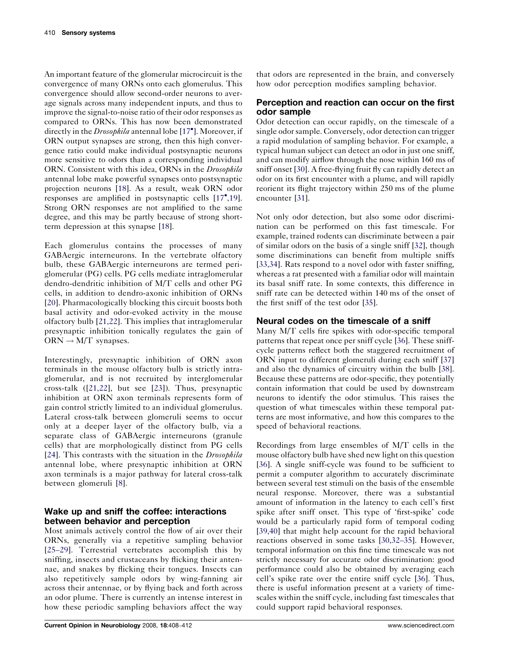An important feature of the glomerular microcircuit is the convergence of many ORNs onto each glomerulus. This convergence should allow second-order neurons to average signals across many independent inputs, and thus to improve the signal-to-noise ratio of their odor responses as compared to ORNs. This has now been demonstrated directly in the *Drosophila* antennal lobe [\[17](#page-4-0)<sup>°</sup>]. Moreover, if ORN output synapses are strong, then this high convergence ratio could make individual postsynaptic neurons more sensitive to odors than a corresponding individual ORN. Consistent with this idea, ORNs in the Drosophila antennal lobe make powerful synapses onto postsynaptic projection neurons [\[18](#page-4-0)]. As a result, weak ORN odor responses are amplified in postsynaptic cells [\[17](#page-4-0)°[,19](#page-4-0)]. Strong ORN responses are not amplified to the same degree, and this may be partly because of strong shortterm depression at this synapse [[18\]](#page-4-0).

Each glomerulus contains the processes of many GABAergic interneurons. In the vertebrate olfactory bulb, these GABAergic interneurons are termed periglomerular (PG) cells. PG cells mediate intraglomerular dendro-dendritic inhibition of M/T cells and other PG cells, in addition to dendro-axonic inhibition of ORNs [\[20](#page-4-0)]. Pharmacologically blocking this circuit boosts both basal activity and odor-evoked activity in the mouse olfactory bulb [[21,22\]](#page-4-0). This implies that intraglomerular presynaptic inhibition tonically regulates the gain of  $\text{ORN} \rightarrow \text{M/T}$  synapses.

Interestingly, presynaptic inhibition of ORN axon terminals in the mouse olfactory bulb is strictly intraglomerular, and is not recruited by interglomerular cross-talk ([[21,22\]](#page-4-0), but see [[23](#page-4-0)]). Thus, presynaptic inhibition at ORN axon terminals represents form of gain control strictly limited to an individual glomerulus. Lateral cross-talk between glomeruli seems to occur only at a deeper layer of the olfactory bulb, via a separate class of GABAergic interneurons (granule cells) that are morphologically distinct from PG cells [\[24](#page-4-0)]. This contrasts with the situation in the *Drosophila* antennal lobe, where presynaptic inhibition at ORN axon terminals is a major pathway for lateral cross-talk between glomeruli [[8\]](#page-3-0).

# Wake up and sniff the coffee: interactions between behavior and perception

Most animals actively control the flow of air over their ORNs, generally via a repetitive sampling behavior [25–[29\]](#page-4-0). Terrestrial vertebrates accomplish this by sniffing, insects and crustaceans by flicking their antennae, and snakes by flicking their tongues. Insects can also repetitively sample odors by wing-fanning air across their antennae, or by flying back and forth across an odor plume. There is currently an intense interest in how these periodic sampling behaviors affect the way that odors are represented in the brain, and conversely how odor perception modifies sampling behavior.

# Perception and reaction can occur on the first odor sample

Odor detection can occur rapidly, on the timescale of a single odor sample. Conversely, odor detection can trigger a rapid modulation of sampling behavior. For example, a typical human subject can detect an odor in just one sniff, and can modify airflow through the nose within 160 ms of sniff onset [[30\]](#page-4-0). A free-flying fruit fly can rapidly detect an odor on its first encounter with a plume, and will rapidly reorient its flight trajectory within 250 ms of the plume encounter [\[31](#page-4-0)].

Not only odor detection, but also some odor discrimination can be performed on this fast timescale. For example, trained rodents can discriminate between a pair of similar odors on the basis of a single sniff [[32\]](#page-4-0), though some discriminations can benefit from multiple sniffs [\[33,34\]](#page-4-0). Rats respond to a novel odor with faster sniffing, whereas a rat presented with a familiar odor will maintain its basal sniff rate. In some contexts, this difference in sniff rate can be detected within 140 ms of the onset of the first sniff of the test odor [[35\]](#page-4-0).

# Neural codes on the timescale of a sniff

Many M/T cells fire spikes with odor-specific temporal patterns that repeat once per sniff cycle [[36\]](#page-4-0). These sniffcycle patterns reflect both the staggered recruitment of ORN input to different glomeruli during each sniff [\[37\]](#page-4-0) and also the dynamics of circuitry within the bulb [[38](#page-4-0)]. Because these patterns are odor-specific, they potentially contain information that could be used by downstream neurons to identify the odor stimulus. This raises the question of what timescales within these temporal patterns are most informative, and how this compares to the speed of behavioral reactions.

Recordings from large ensembles of M/T cells in the mouse olfactory bulb have shed new light on this question [\[36](#page-4-0)]. A single sniff-cycle was found to be sufficient to permit a computer algorithm to accurately discriminate between several test stimuli on the basis of the ensemble neural response. Moreover, there was a substantial amount of information in the latency to each cell's first spike after sniff onset. This type of 'first-spike' code would be a particularly rapid form of temporal coding [\[39,40\]](#page-4-0) that might help account for the rapid behavioral reactions observed in some tasks [[30,32](#page-4-0)–35]. However, temporal information on this fine time timescale was not strictly necessary for accurate odor discrimination: good performance could also be obtained by averaging each cell's spike rate over the entire sniff cycle [\[36](#page-4-0)]. Thus, there is useful information present at a variety of timescales within the sniff cycle, including fast timescales that could support rapid behavioral responses.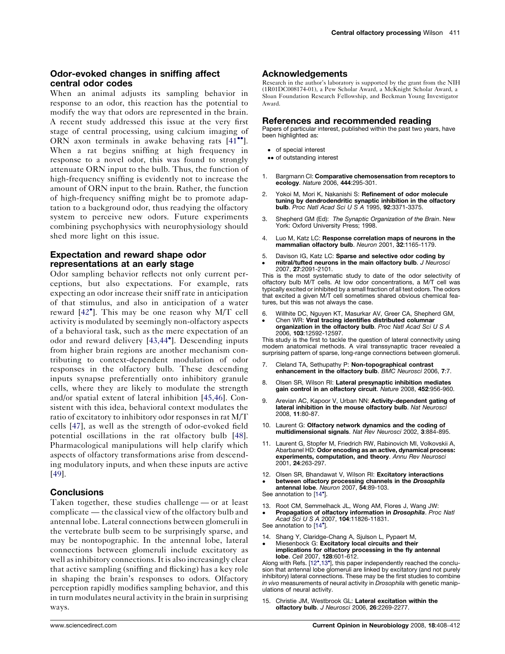## <span id="page-3-0"></span>Odor-evoked changes in sniffing affect central odor codes

When an animal adjusts its sampling behavior in response to an odor, this reaction has the potential to modify the way that odors are represented in the brain. A recent study addressed this issue at the very first stage of central processing, using calcium imaging of ORN axon terminals in awake behaving rats  $[41$  $[41$ <sup>\*\*</sup>]. When a rat begins sniffing at high frequency in response to a novel odor, this was found to strongly attenuate ORN input to the bulb. Thus, the function of high-frequency sniffing is evidently not to increase the amount of ORN input to the brain. Rather, the function of high-frequency sniffing might be to promote adaptation to a background odor, thus readying the olfactory system to perceive new odors. Future experiments combining psychophysics with neurophysiology should shed more light on this issue.

## Expectation and reward shape odor representations at an early stage

Odor sampling behavior reflects not only current perceptions, but also expectations. For example, rats expecting an odor increase their sniff rate in anticipation of that stimulus, and also in anticipation of a water reward [\[42](#page-4-0)<sup>°</sup>]. This may be one reason why M/T cell activity is modulated by seemingly non-olfactory aspects of a behavioral task, such as the mere expectation of an odor and reward delivery [[43,44](#page-4-0)°]. Descending inputs from higher brain regions are another mechanism contributing to context-dependent modulation of odor responses in the olfactory bulb. These descending inputs synapse preferentially onto inhibitory granule cells, where they are likely to modulate the strength and/or spatial extent of lateral inhibition [\[45,46](#page-4-0)]. Consistent with this idea, behavioral context modulates the ratio of excitatory to inhibitory odor responses in rat M/T cells [[47\]](#page-4-0), as well as the strength of odor-evoked field potential oscillations in the rat olfactory bulb [[48](#page-4-0)]. Pharmacological manipulations will help clarify which aspects of olfactory transformations arise from descending modulatory inputs, and when these inputs are active [\[49\]](#page-4-0).

### **Conclusions**

Taken together, these studies challenge — or at least complicate — the classical view of the olfactory bulb and antennal lobe. Lateral connections between glomeruli in the vertebrate bulb seem to be surprisingly sparse, and may be nontopographic. In the antennal lobe, lateral connections between glomeruli include excitatory as well as inhibitory connections. It is also increasingly clear that active sampling (sniffing and flicking) has a key role in shaping the brain's responses to odors. Olfactory perception rapidly modifies sampling behavior, and this in turn modulates neural activity in the brain in surprising ways.

#### Acknowledgements

Research in the author's laboratory is supported by the grant from the NIH (1R01DC008174-01), a Pew Scholar Award, a McKnight Scholar Award, a Sloan Foundation Research Fellowship, and Beckman Young Investigator Award.

#### References and recommended reading

Papers of particular interest, published within the past two years, have been highlighted as:

- of special interest
- •• of outstanding interest
- Bargmann CI: Comparative chemosensation from receptors to ecology. Nature 2006, 444:295-301.
- 2. Yokoi M, Mori K, Nakanishi S: Refinement of odor molecule tuning by dendrodendritic synaptic inhibition in the olfactory bulb. Proc Natl Acad Sci U S A 1995, 92:3371-3375.
- 3. Shepherd GM (Ed): The Synaptic Organization of the Brain. New York: Oxford University Press; 1998.
- 4. Luo M, Katz LC: Response correlation maps of neurons in the mammalian olfactory bulb. Neuron 2001, 32:1165-1179.
- 5. -Davison IG, Katz LC: Sparse and selective odor coding by mitral/tufted neurons in the main olfactory bulb. J Neurosci

2007, 27:2091-2101. This is the most systematic study to date of the odor selectivity of olfactory bulb M/T cells. At low odor concentrations, a M/T cell was typically excited or inhibited by a small fraction of all test odors. The odors that excited a given M/T cell sometimes shared obvious chemical features, but this was not always the case.

- 6. Willhite DC, Nguyen KT, Masurkar AV, Greer CA, Shepherd GM,
- -Chen WR: Viral tracing identifies distributed columnar organization in the olfactory bulb. Proc Natl Acad Sci U S A 2006, 103:12592-12597.

This study is the first to tackle the question of lateral connectivity using modern anatomical methods. A viral transsynaptic tracer revealed a surprising pattern of sparse, long-range connections between glomeruli.

- 7. Cleland TA, Sethupathy P: Non-topographical contrast enhancement in the olfactory bulb. BMC Neurosci 2006, 7:7.
- 8. Olsen SR, Wilson RI: Lateral presynaptic inhibition mediates gain control in an olfactory circuit. Nature 2008, 452:956-960.
- 9. Arevian AC, Kapoor V, Urban NN: Activity-dependent gating of lateral inhibition in the mouse olfactory bulb. Nat Neurosci 2008, 11:80-87.
- 10. Laurent G: Olfactory network dynamics and the coding of multidimensional signals. Nat Rev Neurosci 2002, 3:884-895.
- 11. Laurent G, Stopfer M, Friedrich RW, Rabinovich MI, Volkovskii A, Abarbanel HD: Odor encoding as an active, dynamical process: experiments, computation, and theory. Annu Rev Neurosci 2001, 24:263-297.
- 12. Olsen SR, Bhandawat V, Wilson RI: Excitatory interactions between olfactory processing channels in the Drosophila antennal lobe. Neuron 2007, 54:89-103.

See annotation to [14°].

13. -Root CM, Semmelhack JL, Wong AM, Flores J, Wang JW: Propagation of olfactory information in Drosophila. Proc Natl

Acad Sci U S A 2007, 104:11826-11831. See annotation to [14°].

- 14. Shang Y, Claridge-Chang A, Sjulson L, Pypaert M,
- -Miesenbock G: Excitatory local circuits and their implications for olfactory processing in the fly antennal

lobe. Cell 2007, 128:601-612.<br>Along with Refs. [12\*,13\*], this paper independently reached the conclusion that antennal lobe glomeruli are linked by excitatory (and not purely inhibitory) lateral connections. These may be the first studies to combine in vivo measurements of neural activity in Drosophila with genetic manipulations of neural activity.

15. Christie JM, Westbrook GL: Lateral excitation within the olfactory bulb. J Neurosci 2006, 26:2269-2277.